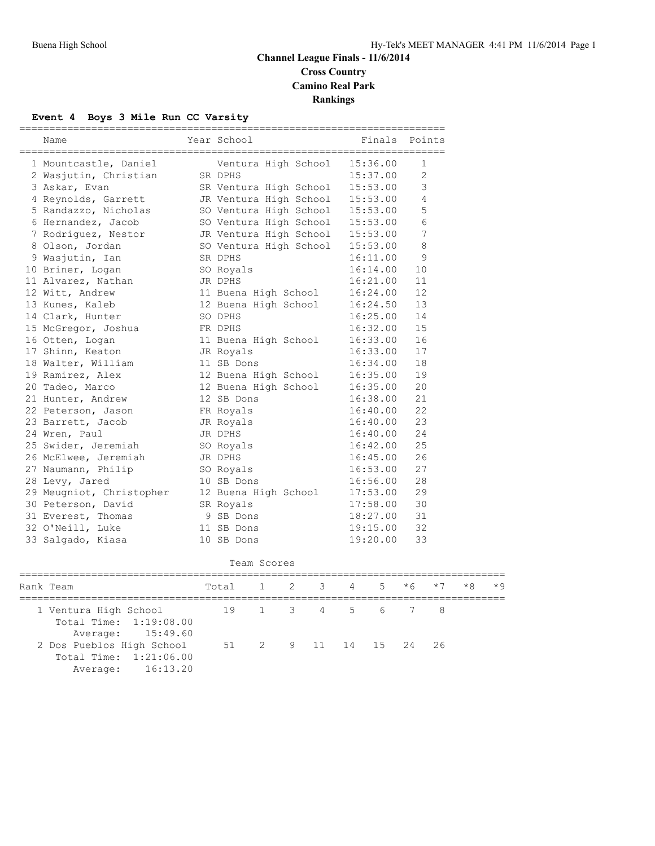### **Channel League Finals - 11/6/2014 Cross Country Camino Real Park Rankings**

#### **Event 4 Boys 3 Mile Run CC Varsity**

| Name                     | Year School                     |          | Finals Points  |
|--------------------------|---------------------------------|----------|----------------|
| 1 Mountcastle, Daniel    | Ventura High School             | 15:36.00 | 1              |
| 2 Wasjutin, Christian    | SR DPHS                         | 15:37.00 | $\overline{2}$ |
| 3 Askar, Evan            | SR Ventura High School          | 15:53.00 | 3              |
| 4 Reynolds, Garrett      | JR Ventura High School          | 15:53.00 | 4              |
| 5 Randazzo, Nicholas     | SO Ventura High School          | 15:53.00 | 5              |
| 6 Hernandez, Jacob       | SO Ventura High School 15:53.00 |          | 6              |
| 7 Rodriquez, Nestor      | JR Ventura High School 15:53.00 |          | 7              |
| 8 Olson, Jordan          | SO Ventura High School          | 15:53.00 | 8              |
| 9 Wasjutin, Ian          | SR DPHS                         | 16:11.00 | 9              |
| 10 Briner, Logan         | SO Royals                       | 16:14.00 | 10             |
| 11 Alvarez, Nathan       | JR DPHS                         | 16:21.00 | 11             |
| 12 Witt, Andrew          | 11 Buena High School            | 16:24.00 | 12             |
| 13 Kunes, Kaleb          | 12 Buena High School            | 16:24.50 | 13             |
| 14 Clark, Hunter         | SO DPHS                         | 16:25.00 | 14             |
| 15 McGregor, Joshua      | FR DPHS                         | 16:32.00 | 15             |
| 16 Otten, Logan          | 11 Buena High School            | 16:33.00 | 16             |
| 17 Shinn, Keaton         | JR Royals                       | 16:33.00 | 17             |
| 18 Walter, William       | 11 SB Dons                      | 16:34.00 | 18             |
| 19 Ramirez, Alex         | 12 Buena High School            | 16:35.00 | 19             |
| 20 Tadeo, Marco          | 12 Buena High School            | 16:35.00 | 20             |
| 21 Hunter, Andrew        | 12 SB Dons                      | 16:38.00 | 21             |
| 22 Peterson, Jason       | FR Royals                       | 16:40.00 | 22             |
| 23 Barrett, Jacob        | JR Royals                       | 16:40.00 | 23             |
| 24 Wren, Paul            | JR DPHS                         | 16:40.00 | 24             |
| 25 Swider, Jeremiah      | SO Royals                       | 16:42.00 | 25             |
| 26 McElwee, Jeremiah     | JR DPHS                         | 16:45.00 | 26             |
| 27 Naumann, Philip       | SO Royals                       | 16:53.00 | 27             |
| 28 Levy, Jared           | 10 SB Dons                      | 16:56.00 | 28             |
| 29 Meugniot, Christopher | 12 Buena High School            | 17:53.00 | 29             |
| 30 Peterson, David       | SR Royals                       | 17:58.00 | 30             |
| 31 Everest, Thomas       | 9 SB Dons                       | 18:27.00 | 31             |
| 32 O'Neill, Luke         | 11 SB Dons                      | 19:15.00 | 32             |
| 33 Salgado, Kiasa        | 10 SB Dons                      | 19:20.00 | 33             |

| Scores |
|--------|
|        |
|        |

| Rank Team                                                                | Total 1 2 3 4 5 *6 *7 |  |  |  | $\star$ 8 $\star$ 9 |  |
|--------------------------------------------------------------------------|-----------------------|--|--|--|---------------------|--|
| 1 Ventura High School<br>Total Time: 1:19:08.00<br>Average: 15:49.60     | 19 1 3 4 5 6 7 8      |  |  |  |                     |  |
| 2 Dos Pueblos High School<br>Total Time: 1:21:06.00<br>Average: 16:13.20 | 51 2 9 11 14 15 24 26 |  |  |  |                     |  |